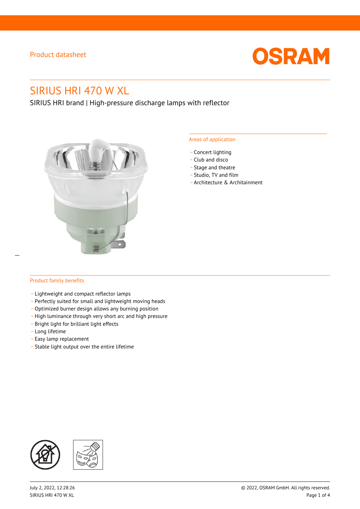

# SIRIUS HRI 470 W XL

SIRIUS HRI brand | High-pressure discharge lamps with reflector



#### Areas of application

- Concert lighting
- \_ Club and disco
- Stage and theatre
- \_ Studio, TV and film
- \_ Architecture & Architainment

#### Product family benefits

- \_ Lightweight and compact reflector lamps
- \_ Perfectly suited for small and lightweight moving heads
- Optimized burner design allows any burning position
- High luminance through very short arc and high pressure
- \_ Bright light for brilliant light effects
- \_ Long lifetime
- \_ Easy lamp replacement
- \_ Stable light output over the entire lifetime

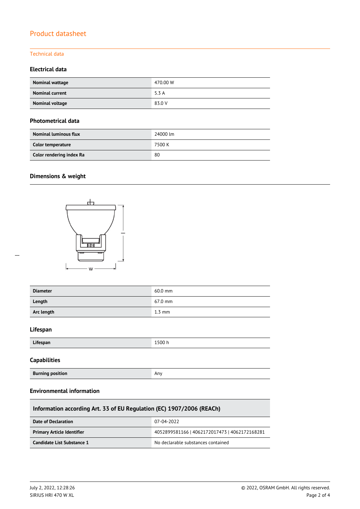#### Technical data

#### **Electrical data**

| Nominal wattage        | 470.00 W |
|------------------------|----------|
| <b>Nominal current</b> | 5.3 A    |
| Nominal voltage        | 83.0 V   |

#### **Photometrical data**

| <b>Nominal luminous flux</b> | 24000 lm |
|------------------------------|----------|
| Color temperature            | 7500 K   |
| Color rendering index Ra     | 80       |

## **Dimensions & weight**



| <b>Diameter</b> | $60.0$ mm         |
|-----------------|-------------------|
| Length          | $67.0 \text{ mm}$ |
| Arc length      | $1.3 \text{ mm}$  |

#### **Lifespan**

| Lifespan | $F^{\wedge}$<br>1500 h |
|----------|------------------------|
|          |                        |

#### **Capabilities**

| <b>Burning position</b> | Any |
|-------------------------|-----|
|-------------------------|-----|

#### **Environmental information**

| Information according Art. 33 of EU Regulation (EC) 1907/2006 (REACh) |                                               |  |  |
|-----------------------------------------------------------------------|-----------------------------------------------|--|--|
| Date of Declaration                                                   | 07-04-2022                                    |  |  |
| <b>Primary Article Identifier</b>                                     | 4052899581166   4062172017473   4062172168281 |  |  |
| Candidate List Substance 1                                            | No declarable substances contained            |  |  |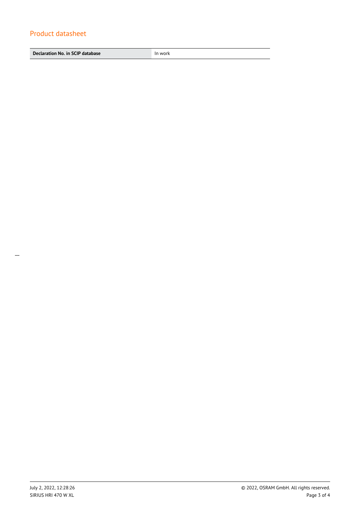**Declaration No. in SCIP database In work**